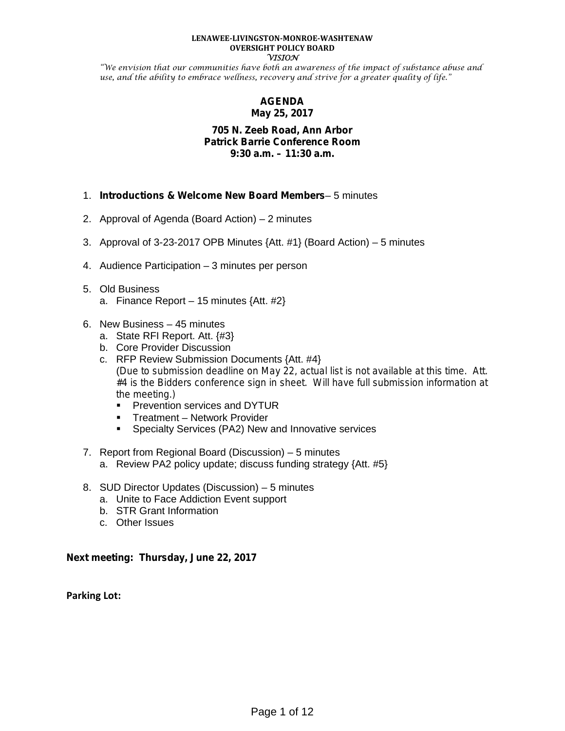#### **LENAWEE-LIVINGSTON-MONROE-WASHTENAW OVERSIGHT POLICY BOARD VISION**

"We envision that our communities have both an awareness of the impact of substance abuse and use, and the ability to embrace wellness, recovery and strive for a greater quality of life."

## **AGENDA May 25, 2017**

### **705 N. Zeeb Road, Ann Arbor Patrick Barrie Conference Room 9:30 a.m. – 11:30 a.m.**

- 1. *Introductions & Welcome New Board Members* 5 minutes
- 2. Approval of Agenda (Board Action) 2 minutes
- 3. Approval of 3-23-2017 OPB Minutes {Att. #1} (Board Action) 5 minutes
- 4. Audience Participation 3 minutes per person
- 5. Old Business a. Finance Report – 15 minutes {Att. #2}
- 6. New Business 45 minutes
	- a. State RFI Report. Att. {#3}
	- b. Core Provider Discussion
	- c. RFP Review Submission Documents {Att. #4} (*Due to submission deadline on May 22, actual list is not available at this time. Att. #4 is the Bidders conference sign in sheet. Will have full submission information at the meeting.)*
		- **Prevention services and DYTUR**
		- **Treatment Network Provider**
		- **Specialty Services (PA2) New and Innovative services**
- 7. Report from Regional Board (Discussion) 5 minutes
	- a. Review PA2 policy update; discuss funding strategy {Att. #5}
- 8. SUD Director Updates (Discussion) 5 minutes
	- a. Unite to Face Addiction Event support
	- b. STR Grant Information
	- c. Other Issues

## **Next meeting: Thursday, June 22, 2017**

**Parking Lot:**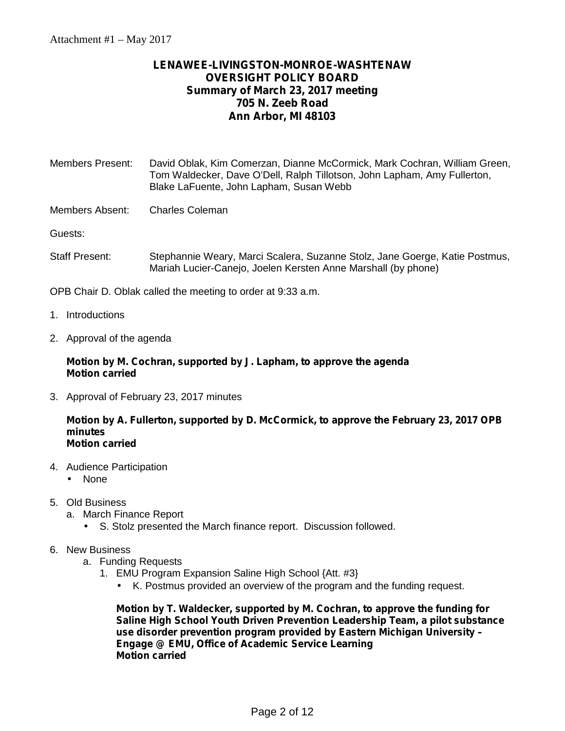# **LENAWEE-LIVINGSTON-MONROE-WASHTENAW OVERSIGHT POLICY BOARD Summary of March 23, 2017 meeting 705 N. Zeeb Road Ann Arbor, MI 48103**

| <b>Members Present:</b> | David Oblak, Kim Comerzan, Dianne McCormick, Mark Cochran, William Green,                                           |
|-------------------------|---------------------------------------------------------------------------------------------------------------------|
|                         | Tom Waldecker, Dave O'Dell, Ralph Tillotson, John Lapham, Amy Fullerton,<br>Blake LaFuente, John Lapham, Susan Webb |
|                         |                                                                                                                     |

Members Absent: Charles Coleman

Guests:

Staff Present: Stephannie Weary, Marci Scalera, Suzanne Stolz, Jane Goerge, Katie Postmus, Mariah Lucier-Canejo, Joelen Kersten Anne Marshall (by phone)

OPB Chair D. Oblak called the meeting to order at 9:33 a.m.

- 1. Introductions
- 2. Approval of the agenda

### **Motion by M. Cochran, supported by J. Lapham, to approve the agenda Motion carried**

3. Approval of February 23, 2017 minutes

### **Motion by A. Fullerton, supported by D. McCormick, to approve the February 23, 2017 OPB minutes Motion carried**

- 4. Audience Participation
	- None
- 5. Old Business
	- a. March Finance Report
		- S. Stolz presented the March finance report. Discussion followed.
- 6. New Business
	- a. Funding Requests
		- 1. EMU Program Expansion Saline High School {Att. #3}
			- $\mu$  K. Postmus provided an overview of the program and the funding request.

**Motion by T. Waldecker, supported by M. Cochran, to approve the funding for Saline High School Youth Driven Prevention Leadership Team, a pilot substance use disorder prevention program provided by Eastern Michigan University – Engage @ EMU, Office of Academic Service Learning Motion carried**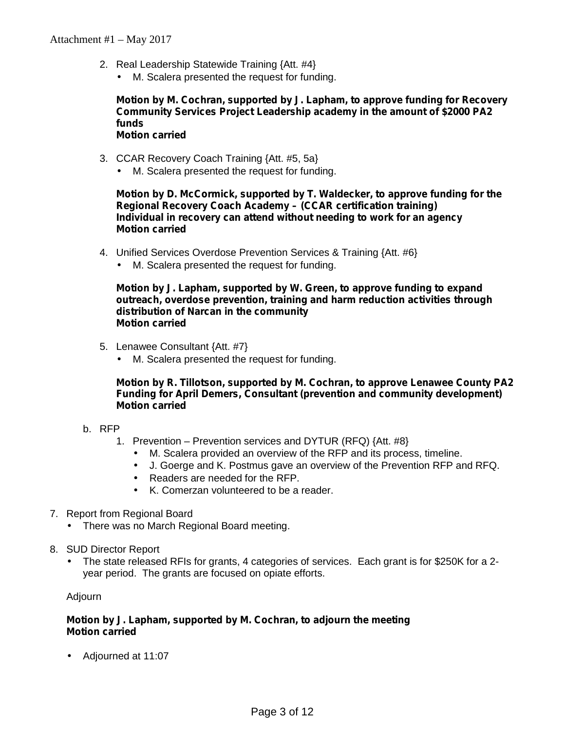- 2. Real Leadership Statewide Training {Att. #4}
	- M. Scalera presented the request for funding.

### **Motion by M. Cochran, supported by J. Lapham, to approve funding for Recovery Community Services Project Leadership academy in the amount of \$2000 PA2 funds Motion carried**

- 3. CCAR Recovery Coach Training {Att. #5, 5a}
	- M. Scalera presented the request for funding.

**Motion by D. McCormick, supported by T. Waldecker, to approve funding for the Regional Recovery Coach Academy – (CCAR certification training) Individual in recovery can attend without needing to work for an agency Motion carried**

- 4. Unified Services Overdose Prevention Services & Training {Att. #6}
	- M. Scalera presented the request for funding.

**Motion by J. Lapham, supported by W. Green, to approve funding to expand outreach, overdose prevention, training and harm reduction activities through distribution of Narcan in the community Motion carried**

- 5. Lenawee Consultant {Att. #7}
	- M. Scalera presented the request for funding.

**Motion by R. Tillotson, supported by M. Cochran, to approve Lenawee County PA2 Funding for April Demers, Consultant (prevention and community development) Motion carried**

- b. RFP
	- 1. Prevention Prevention services and DYTUR (RFQ) {Att. #8}
		- M. Scalera provided an overview of the RFP and its process, timeline.
		- J. Goerge and K. Postmus gave an overview of the Prevention RFP and RFQ.
		- Readers are needed for the RFP.
		- K. Comerzan volunteered to be a reader.
- 7. Report from Regional Board
	- There was no March Regional Board meeting.
- 8. SUD Director Report
	- The state released RFIs for grants, 4 categories of services. Each grant is for \$250K for a 2 year period. The grants are focused on opiate efforts.

Adjourn

## **Motion by J. Lapham, supported by M. Cochran, to adjourn the meeting Motion carried**

Adjourned at 11:07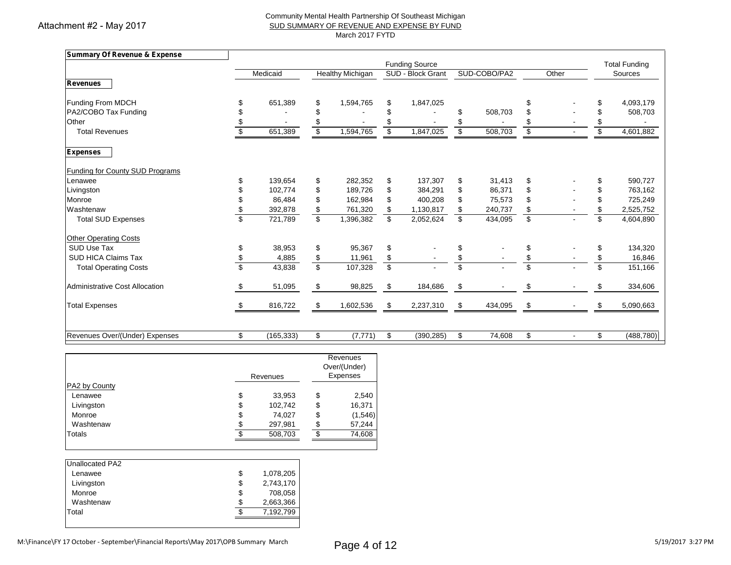Attachment #2 - May 2017

### Community Mental Health Partnership Of Southeast Michigan SUD SUMMARY OF REVENUE AND EXPENSE BY FUND March 2017 FYTD

| Summary Of Revenue & Expense           |                  |                         |                         |                         |                       |                          |              |                          |       |                 |                      |
|----------------------------------------|------------------|-------------------------|-------------------------|-------------------------|-----------------------|--------------------------|--------------|--------------------------|-------|-----------------|----------------------|
|                                        |                  |                         |                         |                         | <b>Funding Source</b> |                          |              |                          |       |                 | <b>Total Funding</b> |
|                                        | Medicaid         |                         | <b>Healthy Michigan</b> |                         | SUD - Block Grant     |                          | SUD-COBO/PA2 |                          | Other |                 | Sources              |
| <b>Revenues</b>                        |                  |                         |                         |                         |                       |                          |              |                          |       |                 |                      |
| Funding From MDCH                      | 651,389          | \$                      | 1,594,765               | \$                      | 1,847,025             |                          |              | \$                       |       |                 | 4,093,179            |
| PA2/COBO Tax Funding                   |                  | S                       |                         |                         |                       |                          | 508.703      | \$                       |       |                 | 508,703              |
| Other                                  |                  |                         |                         |                         |                       |                          |              | \$                       |       |                 |                      |
| <b>Total Revenues</b>                  | 651,389          | \$                      | 1,594,765               |                         | 1,847,025             |                          | 508,703      | s                        |       | \$              | 4,601,882            |
| <b>Expenses</b>                        |                  |                         |                         |                         |                       |                          |              |                          |       |                 |                      |
| <b>Funding for County SUD Programs</b> |                  |                         |                         |                         |                       |                          |              |                          |       |                 |                      |
| Lenawee                                | 139,654          | \$                      | 282,352                 | \$                      | 137,307               | \$                       | 31,413       | \$                       |       | \$              | 590,727              |
| Livingston                             | 102,774          | \$                      | 189,726                 | \$                      | 384,291               | \$                       | 86,371       | \$                       |       | \$              | 763,162              |
| Monroe                                 | 86,484           | \$                      | 162,984                 | \$                      | 400,208               | \$                       | 75,573       | \$                       |       | \$              | 725,249              |
| Washtenaw                              | 392,878          | \$                      | 761,320                 | \$                      | 1,130,817             | \$                       | 240,737      | \$                       |       | \$              | 2,525,752            |
| <b>Total SUD Expenses</b>              | 721,789          | $\overline{\mathbb{S}}$ | 1,396,382               | $\overline{\mathbf{s}}$ | 2,052,624             | $\overline{\mathbf{s}}$  | 434,095      | $\overline{\mathcal{S}}$ |       | $\overline{\$}$ | 4,604,890            |
| <b>Other Operating Costs</b>           |                  |                         |                         |                         |                       |                          |              |                          |       |                 |                      |
| SUD Use Tax                            | 38.953           | \$                      | 95,367                  | \$                      |                       | \$                       |              | \$                       |       | \$              | 134,320              |
| <b>SUD HICA Claims Tax</b>             | 4,885            | \$                      | 11,961                  | \$                      |                       | \$                       |              | \$                       |       | \$              | 16,846               |
| <b>Total Operating Costs</b>           | 43,838           | $\overline{\mathbb{S}}$ | 107,328                 | $\overline{\mathbf{s}}$ |                       | $\overline{\mathcal{S}}$ |              | \$                       |       | \$.             | 151,166              |
| Administrative Cost Allocation         | \$<br>51,095     | \$                      | 98,825                  | \$                      | 184,686               | \$                       |              | \$                       |       |                 | 334,606              |
| <b>Total Expenses</b>                  | 816,722          | \$                      | 1,602,536               | \$                      | 2,237,310             | \$                       | 434,095      | \$                       |       | \$              | 5,090,663            |
|                                        |                  |                         |                         |                         |                       |                          |              |                          |       |                 |                      |
| Revenues Over/(Under) Expenses         | \$<br>(165, 333) | \$                      | (7, 771)                | \$                      | (390, 285)            | \$                       | 74,608       | \$                       |       | \$              | (488, 780)           |

|    | Revenues<br>Over/(Under)<br>Expenses |          |         |
|----|--------------------------------------|----------|---------|
|    |                                      |          |         |
| \$ | 33,953                               | \$       | 2,540   |
| \$ | 102,742                              | \$       | 16,371  |
| \$ | 74,027                               | \$       | (1,546) |
| \$ | 297,981                              | S        | 57,244  |
| c  | 508,703                              | æ        | 74,608  |
|    |                                      | Revenues |         |

| Unallocated PA2 |    |           |
|-----------------|----|-----------|
| Lenawee         | \$ | 1,078,205 |
| Livingston      | \$ | 2,743,170 |
| Monroe          | \$ | 708,058   |
| Washtenaw       | S  | 2,663,366 |
| Total           |    | 7,192,799 |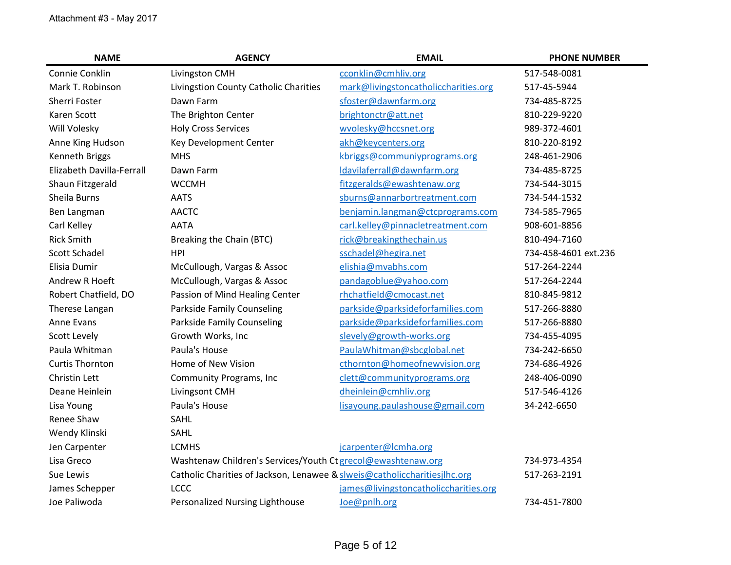| <b>NAME</b>               | <b>AGENCY</b>                                                             | <b>EMAIL</b>                          | <b>PHONE NUMBER</b>  |
|---------------------------|---------------------------------------------------------------------------|---------------------------------------|----------------------|
| Connie Conklin            | Livingston CMH                                                            | cconklin@cmhliv.org                   | 517-548-0081         |
| Mark T. Robinson          | Livingstion County Catholic Charities                                     | mark@livingstoncatholiccharities.org  | 517-45-5944          |
| Sherri Foster             | Dawn Farm                                                                 | sfoster@dawnfarm.org                  | 734-485-8725         |
| Karen Scott               | The Brighton Center                                                       | brightonctr@att.net                   | 810-229-9220         |
| Will Volesky              | <b>Holy Cross Services</b>                                                | wvolesky@hccsnet.org                  | 989-372-4601         |
| Anne King Hudson          | Key Development Center                                                    | akh@keycenters.org                    | 810-220-8192         |
| <b>Kenneth Briggs</b>     | <b>MHS</b>                                                                | kbriggs@communiyprograms.org          | 248-461-2906         |
| Elizabeth Davilla-Ferrall | Dawn Farm                                                                 | Idavilaferrall@dawnfarm.org           | 734-485-8725         |
| Shaun Fitzgerald          | <b>WCCMH</b>                                                              | fitzgeralds@ewashtenaw.org            | 734-544-3015         |
| Sheila Burns              | <b>AATS</b>                                                               | sburns@annarbortreatment.com          | 734-544-1532         |
| Ben Langman               | <b>AACTC</b>                                                              | benjamin.langman@ctcprograms.com      | 734-585-7965         |
| Carl Kelley               | <b>AATA</b>                                                               | carl.kelley@pinnacletreatment.com     | 908-601-8856         |
| <b>Rick Smith</b>         | Breaking the Chain (BTC)                                                  | rick@breakingthechain.us              | 810-494-7160         |
| Scott Schadel             | <b>HPI</b>                                                                | sschadel@hegira.net                   | 734-458-4601 ext.236 |
| Elisia Dumir              | McCullough, Vargas & Assoc                                                | elishia@mvabhs.com                    | 517-264-2244         |
| <b>Andrew R Hoeft</b>     | McCullough, Vargas & Assoc                                                | pandagoblue@yahoo.com                 | 517-264-2244         |
| Robert Chatfield, DO      | Passion of Mind Healing Center                                            | rhchatfield@cmocast.net               | 810-845-9812         |
| Therese Langan            | <b>Parkside Family Counseling</b>                                         | parkside@parksideforfamilies.com      | 517-266-8880         |
| Anne Evans                | <b>Parkside Family Counseling</b>                                         | parkside@parksideforfamilies.com      | 517-266-8880         |
| <b>Scott Levely</b>       | Growth Works, Inc                                                         | slevely@growth-works.org              | 734-455-4095         |
| Paula Whitman             | Paula's House                                                             | PaulaWhitman@sbcglobal.net            | 734-242-6650         |
| <b>Curtis Thornton</b>    | Home of New Vision                                                        | cthornton@homeofnewvision.org         | 734-686-4926         |
| <b>Christin Lett</b>      | <b>Community Programs, Inc.</b>                                           | clett@communityprograms.org           | 248-406-0090         |
| Deane Heinlein            | Livingsont CMH                                                            | dheinlein@cmhliv.org                  | 517-546-4126         |
| Lisa Young                | Paula's House                                                             | lisayoung.paulashouse@gmail.com       | 34-242-6650          |
| Renee Shaw                | SAHL                                                                      |                                       |                      |
| Wendy Klinski             | SAHL                                                                      |                                       |                      |
| Jen Carpenter             | <b>LCMHS</b>                                                              | jcarpenter@lcmha.org                  |                      |
| Lisa Greco                | Washtenaw Children's Services/Youth Ct grecol@ewashtenaw.org              |                                       | 734-973-4354         |
| Sue Lewis                 | Catholic Charities of Jackson, Lenawee & slweis@catholiccharitiesjlhc.org |                                       | 517-263-2191         |
| James Schepper            | <b>LCCC</b>                                                               | james@livingstoncatholiccharities.org |                      |
| Joe Paliwoda              | Personalized Nursing Lighthouse                                           | Joe@pnlh.org                          | 734-451-7800         |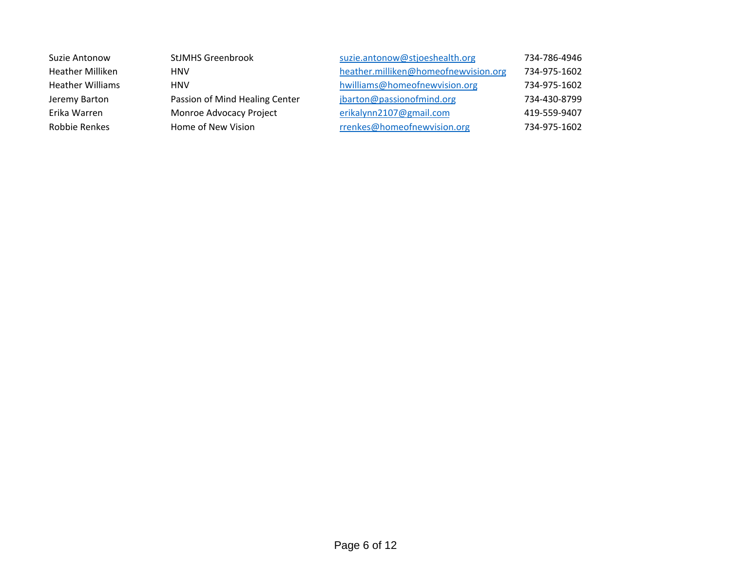| Suzie Antonow           | <b>StJMHS Greenbrook</b>       | suzie.antonow@stjoeshealth.org       | 734-786-4946 |
|-------------------------|--------------------------------|--------------------------------------|--------------|
| <b>Heather Milliken</b> | <b>HNV</b>                     | heather.milliken@homeofnewvision.org | 734-975-1602 |
| <b>Heather Williams</b> | <b>HNV</b>                     | hwilliams@homeofnewvision.org        | 734-975-1602 |
| Jeremy Barton           | Passion of Mind Healing Center | jbarton@passionofmind.org            | 734-430-8799 |
| Erika Warren            | Monroe Advocacy Project        | erikalynn2107@gmail.com              | 419-559-9407 |
| Robbie Renkes           | Home of New Vision             | rrenkes@homeofnewvision.org          | 734-975-1602 |
|                         |                                |                                      |              |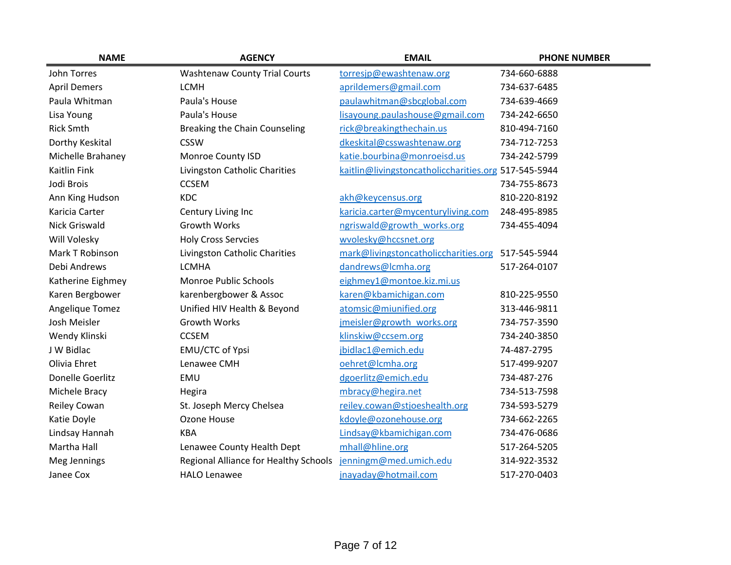| <b>NAME</b>          | <b>AGENCY</b>                         | <b>EMAIL</b>                                         | <b>PHONE NUMBER</b> |
|----------------------|---------------------------------------|------------------------------------------------------|---------------------|
| John Torres          | <b>Washtenaw County Trial Courts</b>  | torresjp@ewashtenaw.org                              | 734-660-6888        |
| <b>April Demers</b>  | <b>LCMH</b>                           | aprildemers@gmail.com                                | 734-637-6485        |
| Paula Whitman        | Paula's House                         | paulawhitman@sbcglobal.com                           | 734-639-4669        |
| Lisa Young           | Paula's House                         | lisayoung.paulashouse@gmail.com                      | 734-242-6650        |
| <b>Rick Smth</b>     | Breaking the Chain Counseling         | rick@breakingthechain.us                             | 810-494-7160        |
| Dorthy Keskital      | <b>CSSW</b>                           | dkeskital@csswashtenaw.org                           | 734-712-7253        |
| Michelle Brahaney    | Monroe County ISD                     | katie.bourbina@monroeisd.us                          | 734-242-5799        |
| <b>Kaitlin Fink</b>  | Livingston Catholic Charities         | kaitlin@livingstoncatholiccharities.org 517-545-5944 |                     |
| Jodi Brois           | <b>CCSEM</b>                          |                                                      | 734-755-8673        |
| Ann King Hudson      | <b>KDC</b>                            | akh@keycensus.org                                    | 810-220-8192        |
| Karicia Carter       | Century Living Inc                    | karicia.carter@mycenturyliving.com                   | 248-495-8985        |
| <b>Nick Griswald</b> | <b>Growth Works</b>                   | ngriswald@growth works.org                           | 734-455-4094        |
| Will Volesky         | <b>Holy Cross Servcies</b>            | wvolesky@hccsnet.org                                 |                     |
| Mark T Robinson      | Livingston Catholic Charities         | mark@livingstoncatholiccharities.org                 | 517-545-5944        |
| Debi Andrews         | <b>LCMHA</b>                          | dandrews@lcmha.org                                   | 517-264-0107        |
| Katherine Eighmey    | Monroe Public Schools                 | eighmey1@montoe.kiz.mi.us                            |                     |
| Karen Bergbower      | karenbergbower & Assoc                | karen@kbamichigan.com                                | 810-225-9550        |
| Angelique Tomez      | Unified HIV Health & Beyond           | atomsic@miunified.org                                | 313-446-9811        |
| Josh Meisler         | <b>Growth Works</b>                   | jmeisler@growth works.org                            | 734-757-3590        |
| Wendy Klinski        | <b>CCSEM</b>                          | klinskiw@ccsem.org                                   | 734-240-3850        |
| J W Bidlac           | EMU/CTC of Ypsi                       | jbidlac1@emich.edu                                   | 74-487-2795         |
| Olivia Ehret         | Lenawee CMH                           | oehret@lcmha.org                                     | 517-499-9207        |
| Donelle Goerlitz     | EMU                                   | dgoerlitz@emich.edu                                  | 734-487-276         |
| Michele Bracy        | Hegira                                | mbracy@hegira.net                                    | 734-513-7598        |
| Reiley Cowan         | St. Joseph Mercy Chelsea              | reiley.cowan@stjoeshealth.org                        | 734-593-5279        |
| Katie Doyle          | Ozone House                           | kdoyle@ozonehouse.org                                | 734-662-2265        |
| Lindsay Hannah       | <b>KBA</b>                            | Lindsay@kbamichigan.com                              | 734-476-0686        |
| Martha Hall          | Lenawee County Health Dept            | mhall@hline.org                                      | 517-264-5205        |
| Meg Jennings         | Regional Alliance for Healthy Schools | jenningm@med.umich.edu                               | 314-922-3532        |
| Janee Cox            | <b>HALO Lenawee</b>                   | jnayaday@hotmail.com                                 | 517-270-0403        |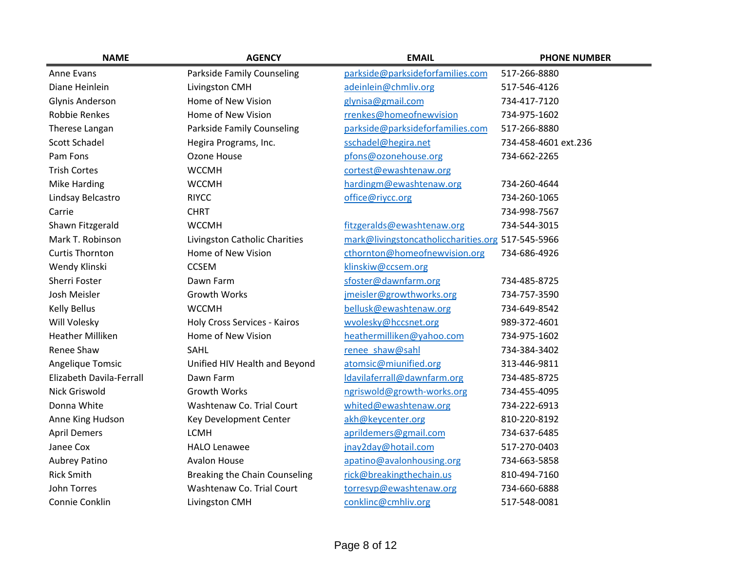| <b>NAME</b>              | <b>AGENCY</b>                       | <b>EMAIL</b>                                      | <b>PHONE NUMBER</b>  |
|--------------------------|-------------------------------------|---------------------------------------------------|----------------------|
| Anne Evans               | <b>Parkside Family Counseling</b>   | parkside@parksideforfamilies.com                  | 517-266-8880         |
| Diane Heinlein           | Livingston CMH                      | adeinlein@chmliv.org                              | 517-546-4126         |
| <b>Glynis Anderson</b>   | Home of New Vision                  | glynisa@gmail.com                                 | 734-417-7120         |
| <b>Robbie Renkes</b>     | Home of New Vision                  | rrenkes@homeofnewvision                           | 734-975-1602         |
| Therese Langan           | <b>Parkside Family Counseling</b>   | parkside@parksideforfamilies.com                  | 517-266-8880         |
| Scott Schadel            | Hegira Programs, Inc.               | sschadel@hegira.net                               | 734-458-4601 ext.236 |
| Pam Fons                 | Ozone House                         | pfons@ozonehouse.org                              | 734-662-2265         |
| <b>Trish Cortes</b>      | <b>WCCMH</b>                        | cortest@ewashtenaw.org                            |                      |
| <b>Mike Harding</b>      | <b>WCCMH</b>                        | hardingm@ewashtenaw.org                           | 734-260-4644         |
| Lindsay Belcastro        | <b>RIYCC</b>                        | office@riycc.org                                  | 734-260-1065         |
| Carrie                   | <b>CHRT</b>                         |                                                   | 734-998-7567         |
| Shawn Fitzgerald         | <b>WCCMH</b>                        | fitzgeralds@ewashtenaw.org                        | 734-544-3015         |
| Mark T. Robinson         | Livingston Catholic Charities       | mark@livingstoncatholiccharities.org 517-545-5966 |                      |
| <b>Curtis Thornton</b>   | Home of New Vision                  | cthornton@homeofnewvision.org                     | 734-686-4926         |
| Wendy Klinski            | <b>CCSEM</b>                        | klinskiw@ccsem.org                                |                      |
| Sherri Foster            | Dawn Farm                           | sfoster@dawnfarm.org                              | 734-485-8725         |
| Josh Meisler             | <b>Growth Works</b>                 | jmeisler@growthworks.org                          | 734-757-3590         |
| <b>Kelly Bellus</b>      | <b>WCCMH</b>                        | bellusk@ewashtenaw.org                            | 734-649-8542         |
| Will Volesky             | <b>Holy Cross Services - Kairos</b> | wvolesky@hccsnet.org                              | 989-372-4601         |
| <b>Heather Milliken</b>  | Home of New Vision                  | heathermilliken@yahoo.com                         | 734-975-1602         |
| Renee Shaw               | SAHL                                | renee shaw@sahl                                   | 734-384-3402         |
| Angelique Tomsic         | Unified HIV Health and Beyond       | atomsic@miunified.org                             | 313-446-9811         |
| Elizabeth Davila-Ferrall | Dawn Farm                           | Idavilaferrall@dawnfarm.org                       | 734-485-8725         |
| <b>Nick Griswold</b>     | <b>Growth Works</b>                 | ngriswold@growth-works.org                        | 734-455-4095         |
| Donna White              | Washtenaw Co. Trial Court           | whited@ewashtenaw.org                             | 734-222-6913         |
| Anne King Hudson         | Key Development Center              | akh@keycenter.org                                 | 810-220-8192         |
| <b>April Demers</b>      | <b>LCMH</b>                         | aprildemers@gmail.com                             | 734-637-6485         |
| Janee Cox                | <b>HALO Lenawee</b>                 | jnay2day@hotail.com                               | 517-270-0403         |
| Aubrey Patino            | <b>Avalon House</b>                 | apatino@avalonhousing.org                         | 734-663-5858         |
| <b>Rick Smith</b>        | Breaking the Chain Counseling       | rick@breakingthechain.us                          | 810-494-7160         |
| John Torres              | Washtenaw Co. Trial Court           | torresyp@ewashtenaw.org                           | 734-660-6888         |
| Connie Conklin           | Livingston CMH                      | conklinc@cmhliv.org                               | 517-548-0081         |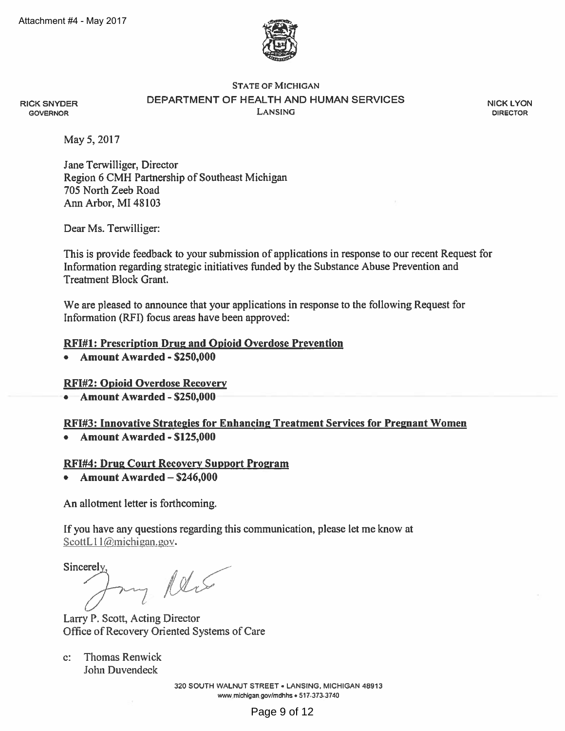

## **STATE OF MICHIGAN** DEPARTMENT OF HEALTH AND HUMAN SERVICES **LANSING**

**NICK LYON DIRECTOR** 

May 5, 2017

**RICK SNYDER** 

**GOVERNOR** 

Jane Terwilliger, Director Region 6 CMH Partnership of Southeast Michigan 705 North Zeeb Road Ann Arbor, MI 48103

Dear Ms. Terwilliger:

This is provide feedback to your submission of applications in response to our recent Request for Information regarding strategic initiatives funded by the Substance Abuse Prevention and **Treatment Block Grant.** 

We are pleased to announce that your applications in response to the following Request for Information (RFI) focus areas have been approved:

# **RFI#1: Prescription Drug and Opioid Overdose Prevention**

Amount Awarded - \$250,000

# **RFI#2: Opioid Overdose Recovery**

Amount Awarded - \$250,000

**RFI#3: Innovative Strategies for Enhancing Treatment Services for Pregnant Women** 

• Amount Awarded - \$125,000

## **RFI#4: Drug Court Recovery Support Program**

• Amount Awarded  $-$  \$246,000

An allotment letter is forthcoming.

If you have any questions regarding this communication, please let me know at ScottL11@michigan.gov.

Sincerely. my Reis

Larry P. Scott, Acting Director Office of Recovery Oriented Systems of Care

**Thomas Renwick**  $C^*$ John Duvendeck

> 320 SOUTH WALNUT STREET . LANSING, MICHIGAN 48913 www.michigan.gov/mdhhs . 517-373-3740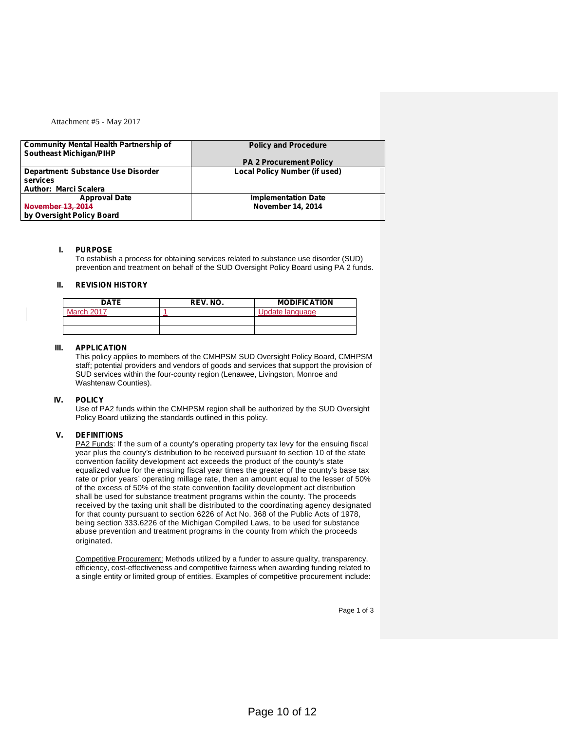### Attachment #5 - May 2017

| <b>Community Mental Health Partnership of</b> | <b>Policy and Procedure</b>          |
|-----------------------------------------------|--------------------------------------|
| <b>Southeast Michigan/PIHP</b>                |                                      |
|                                               | <b>PA 2 Procurement Policy</b>       |
| Department: Substance Use Disorder            | <b>Local Policy Number (if used)</b> |
| services                                      |                                      |
| <b>Author: Marci Scalera</b>                  |                                      |
| <b>Approval Date</b>                          | <b>Implementation Date</b>           |
| <b>November 13, 2014</b>                      | <b>November 14, 2014</b>             |
| by Oversight Policy Board                     |                                      |

### **I. PURPOSE**

To establish a process for obtaining services related to substance use disorder (SUD) prevention and treatment on behalf of the SUD Oversight Policy Board using PA 2 funds.

### **II. REVISION HISTORY**

| <b>DATE</b> | REV. NO. | <b>MODIFICATION</b> |
|-------------|----------|---------------------|
| March 2017  |          | Jpdate language     |
|             |          |                     |
|             |          |                     |

#### **III. APPLICATION**

This policy applies to members of the CMHPSM SUD Oversight Policy Board, CMHPSM staff; potential providers and vendors of goods and services that support the provision of SUD services within the four-county region (Lenawee, Livingston, Monroe and Washtenaw Counties).

#### **IV. POLICY**

Use of PA2 funds within the CMHPSM region shall be authorized by the SUD Oversight Policy Board utilizing the standards outlined in this policy.

### **V. DEFINITIONS**

PA2 Funds: If the sum of a county's operating property tax levy for the ensuing fiscal year plus the county's distribution to be received pursuant to section 10 of the state convention facility development act exceeds the product of the county's state equalized value for the ensuing fiscal year times the greater of the county's base tax rate or prior years' operating millage rate, then an amount equal to the lesser of 50% of the excess of 50% of the state convention facility development act distribution shall be used for substance treatment programs within the county. The proceeds received by the taxing unit shall be distributed to the coordinating agency designated for that county pursuant to section 6226 of Act No. 368 of the Public Acts of 1978, being section 333.6226 of the Michigan Compiled Laws, to be used for substance abuse prevention and treatment programs in the county from which the proceeds originated.

Competitive Procurement: Methods utilized by a funder to assure quality, transparency, efficiency, cost-effectiveness and competitive fairness when awarding funding related to a single entity or limited group of entities. Examples of competitive procurement include:

Page 1 of 3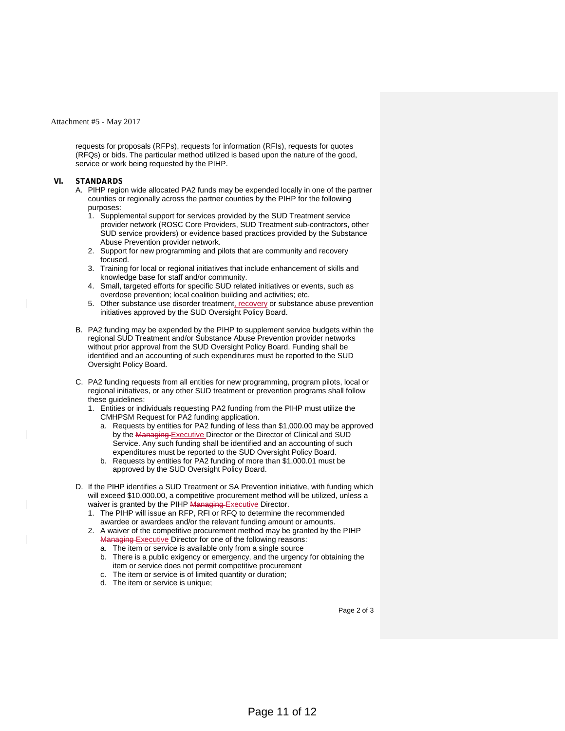#### Attachment #5 - May 2017

requests for proposals (RFPs), requests for information (RFIs), requests for quotes (RFQs) or bids. The particular method utilized is based upon the nature of the good, service or work being requested by the PIHP.

#### **VI. STANDARDS**

- A. PIHP region wide allocated PA2 funds may be expended locally in one of the partner counties or regionally across the partner counties by the PIHP for the following purposes:
	- 1. Supplemental support for services provided by the SUD Treatment service provider network (ROSC Core Providers, SUD Treatment sub-contractors, other SUD service providers) or evidence based practices provided by the Substance Abuse Prevention provider network.
	- 2. Support for new programming and pilots that are community and recovery focused.
	- 3. Training for local or regional initiatives that include enhancement of skills and knowledge base for staff and/or community.
	- 4. Small, targeted efforts for specific SUD related initiatives or events, such as overdose prevention; local coalition building and activities; etc.
	- 5. Other substance use disorder treatment, recovery or substance abuse prevention initiatives approved by the SUD Oversight Policy Board.
- B. PA2 funding may be expended by the PIHP to supplement service budgets within the regional SUD Treatment and/or Substance Abuse Prevention provider networks without prior approval from the SUD Oversight Policy Board. Funding shall be identified and an accounting of such expenditures must be reported to the SUD Oversight Policy Board.
- C. PA2 funding requests from all entities for new programming, program pilots, local or regional initiatives, or any other SUD treatment or prevention programs shall follow these guidelines:
	- 1. Entities or individuals requesting PA2 funding from the PIHP must utilize the CMHPSM Request for PA2 funding application.
		- a. Requests by entities for PA2 funding of less than \$1,000.00 may be approved by the Managing Executive Director or the Director of Clinical and SUD Service. Any such funding shall be identified and an accounting of such expenditures must be reported to the SUD Oversight Policy Board.
		- b. Requests by entities for PA2 funding of more than \$1,000.01 must be approved by the SUD Oversight Policy Board.
- D. If the PIHP identifies a SUD Treatment or SA Prevention initiative, with funding which will exceed \$10,000.00, a competitive procurement method will be utilized, unless a waiver is granted by the PIHP Managing Executive Director.
	- 1. The PIHP will issue an RFP, RFI or RFQ to determine the recommended awardee or awardees and/or the relevant funding amount or amounts.
	- 2. A waiver of the competitive procurement method may be granted by the PIHP Managing Executive Director for one of the following reasons:
		- a. The item or service is available only from a single source
		- b. There is a public exigency or emergency, and the urgency for obtaining the item or service does not permit competitive procurement
		- c. The item or service is of limited quantity or duration;
		- d. The item or service is unique;

Page 2 of 3